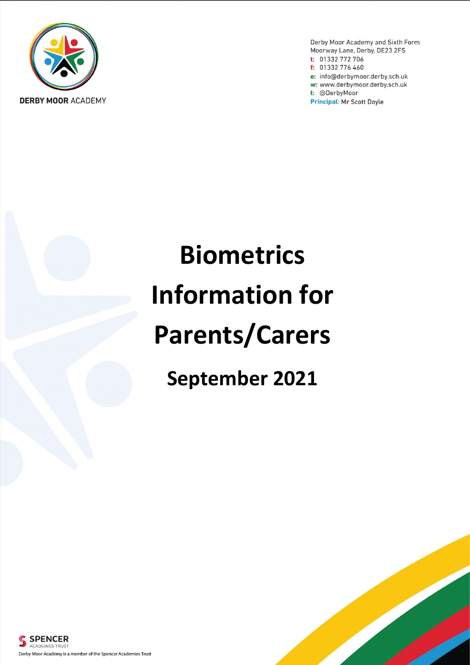

Derby Moor Academy and Sixth Form Moorway Lane, Derby, DE23 2FS t: 01332 772 706 f: 01332 776 460 e: info@derbymoor.derby.sch.uk w: www.derbymoor.derby.sch.uk t: @DerbyMoor **Principal: Mr Scott Doyle** 

# **Biometrics Information for Parents/Carers**

**September 2021**



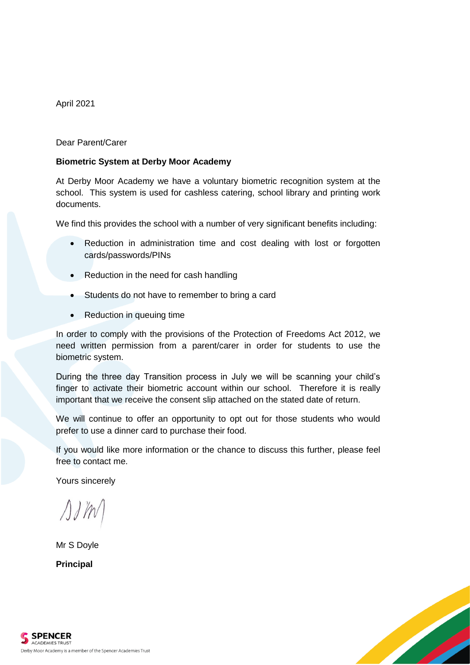April 2021

Dear Parent/Carer

#### **Biometric System at Derby Moor Academy**

At Derby Moor Academy we have a voluntary biometric recognition system at the school. This system is used for cashless catering, school library and printing work documents.

We find this provides the school with a number of very significant benefits including:

- Reduction in administration time and cost dealing with lost or forgotten cards/passwords/PINs
- Reduction in the need for cash handling
- Students do not have to remember to bring a card
- Reduction in queuing time

In order to comply with the provisions of the Protection of Freedoms Act 2012, we need written permission from a parent/carer in order for students to use the biometric system.

During the three day Transition process in July we will be scanning your child's finger to activate their biometric account within our school. Therefore it is really important that we receive the consent slip attached on the stated date of return.

We will continue to offer an opportunity to opt out for those students who would prefer to use a dinner card to purchase their food.

If you would like more information or the chance to discuss this further, please feel free to contact me.

Yours sincerely

Mr S Doyle

**Principal**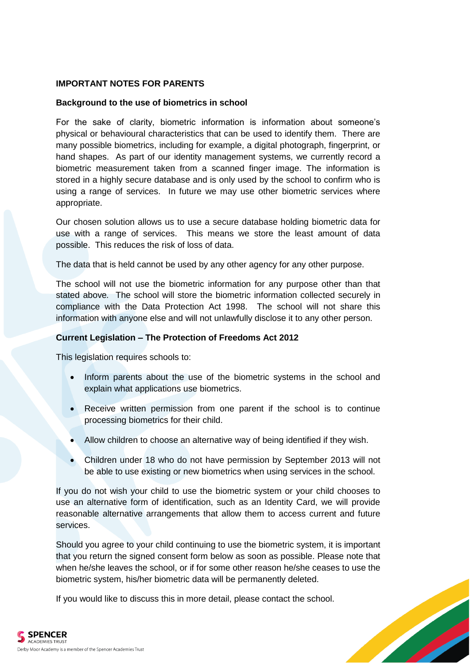#### **IMPORTANT NOTES FOR PARENTS**

#### **Background to the use of biometrics in school**

For the sake of clarity, biometric information is information about someone's physical or behavioural characteristics that can be used to identify them. There are many possible biometrics, including for example, a digital photograph, fingerprint, or hand shapes. As part of our identity management systems, we currently record a biometric measurement taken from a scanned finger image. The information is stored in a highly secure database and is only used by the school to confirm who is using a range of services. In future we may use other biometric services where appropriate.

Our chosen solution allows us to use a secure database holding biometric data for use with a range of services. This means we store the least amount of data possible. This reduces the risk of loss of data.

The data that is held cannot be used by any other agency for any other purpose.

The school will not use the biometric information for any purpose other than that stated above*.* The school will store the biometric information collected securely in compliance with the Data Protection Act 1998. The school will not share this information with anyone else and will not unlawfully disclose it to any other person.

#### **Current Legislation – The Protection of Freedoms Act 2012**

This legislation requires schools to:

- Inform parents about the use of the biometric systems in the school and explain what applications use biometrics.
- Receive written permission from one parent if the school is to continue processing biometrics for their child.
- Allow children to choose an alternative way of being identified if they wish.
- Children under 18 who do not have permission by September 2013 will not be able to use existing or new biometrics when using services in the school.

If you do not wish your child to use the biometric system or your child chooses to use an alternative form of identification, such as an Identity Card, we will provide reasonable alternative arrangements that allow them to access current and future services.

Should you agree to your child continuing to use the biometric system, it is important that you return the signed consent form below as soon as possible. Please note that when he/she leaves the school, or if for some other reason he/she ceases to use the biometric system, his/her biometric data will be permanently deleted.

If you would like to discuss this in more detail, please contact the school.

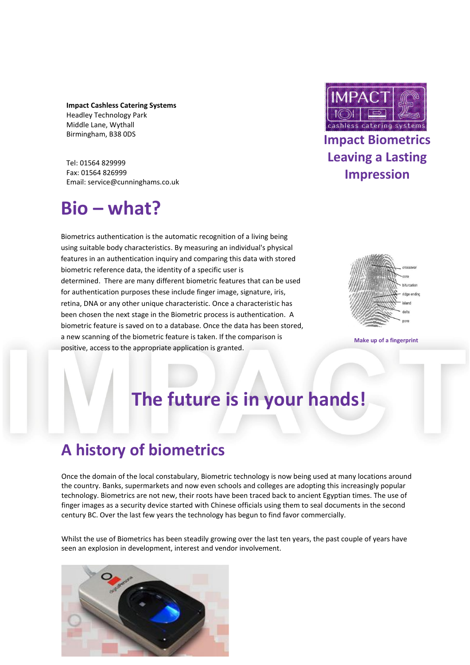**Impact Cashless Catering Systems**  Headley Technology Park Middle Lane, Wythall Birmingham, B38 0DS

Tel: 01564 829999 Fax: 01564 826999 Email: service@cunninghams.co.uk

# **Bio – what?**

Biometrics authentication is the automatic recognition of a living being using suitable body characteristics. By measuring an individual's physical features in an authentication inquiry and comparing this data with stored biometric reference data, the identity of a specific user is determined. There are many different biometric features that can be used for authentication purposes these include finger image, signature, iris, retina, DNA or any other unique characteristic. Once a characteristic has been chosen the next stage in the Biometric process is authentication. A biometric feature is saved on to a database. Once the data has been stored, a new scanning of the biometric feature is taken. If the comparison is positive, access to the appropriate application is granted.



### **Impact Biometrics Leaving a Lasting Impression**



**Make up of a fingerprint** 

# **The future is in your hands!**

## **A history of biometrics**

Once the domain of the local constabulary, Biometric technology is now being used at many locations around the country. Banks, supermarkets and now even schools and colleges are adopting this increasingly popular technology. Biometrics are not new, their roots have been traced back to ancient Egyptian times. The use of finger images as a security device started with Chinese officials using them to seal documents in the second century BC. Over the last few years the technology has begun to find favor commercially.

Whilst the use of Biometrics has been steadily growing over the last ten years, the past couple of years have seen an explosion in development, interest and vendor involvement.